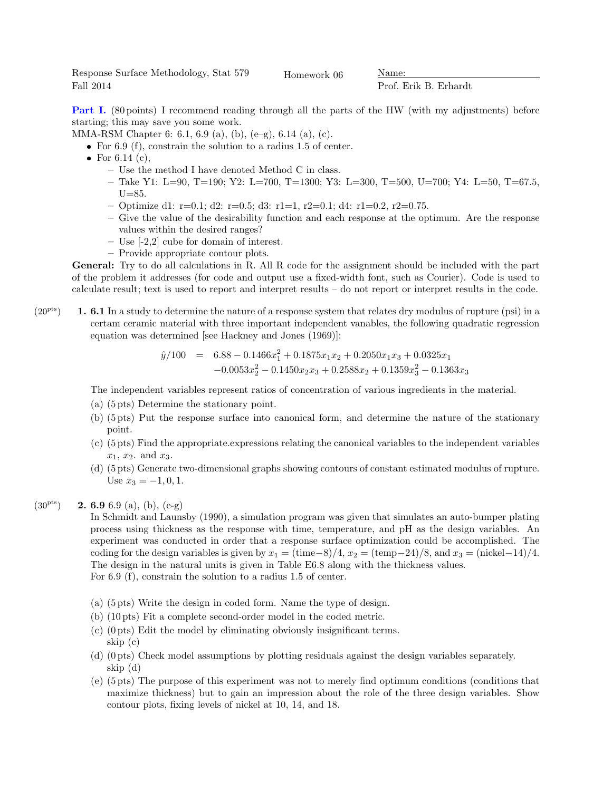Response Surface Methodology, Stat 579 Fall 2014

Homework 06 Name:

Prof. Erik B. Erhardt

Part I. (80 points) I recommend reading through all the parts of the HW (with my adjustments) before starting; this may save you some work.

MMA-RSM Chapter 6: 6.1, 6.9 (a), (b), (e–g), 6.14 (a), (c).

- For 6.9 (f), constrain the solution to a radius 1.5 of center.
- For 6.14  $(c)$ ,
	- Use the method I have denoted Method C in class.
	- Take Y1: L=90, T=190; Y2: L=700, T=1300; Y3: L=300, T=500, U=700; Y4: L=50, T=67.5,  $U=85.$
	- $-$  Optimize d1: r=0.1; d2: r=0.5; d3: r1=1, r2=0.1; d4: r1=0.2, r2=0.75.
	- Give the value of the desirability function and each response at the optimum. Are the response values within the desired ranges?
	- Use [-2,2] cube for domain of interest.
	- Provide appropriate contour plots.

General: Try to do all calculations in R. All R code for the assignment should be included with the part of the problem it addresses (for code and output use a fixed-width font, such as Courier). Code is used to calculate result; text is used to report and interpret results – do not report or interpret results in the code.

 $(20<sup>pts</sup>)$  **1. 6.1** In a study to determine the nature of a response system that relates dry modulus of rupture (psi) in a certam ceramic material with three important independent vanables, the following quadratic regression equation was determined [see Hackney and Jones (1969)]:

$$
\hat{y}/100 = 6.88 - 0.1466x_1^2 + 0.1875x_1x_2 + 0.2050x_1x_3 + 0.0325x_1
$$
  
-0.0053x\_2^2 - 0.1450x\_2x\_3 + 0.2588x\_2 + 0.1359x\_3^2 - 0.1363x\_3

The independent variables represent ratios of concentration of various ingredients in the material.

- (a) (5 pts) Determine the stationary point.
- (b) (5 pts) Put the response surface into canonical form, and determine the nature of the stationary point.
- (c) (5 pts) Find the appropriate.expressions relating the canonical variables to the independent variables  $x_1, x_2$  and  $x_3$ .
- (d) (5 pts) Generate two-dimensional graphs showing contours of constant estimated modulus of rupture. Use  $x_3 = -1, 0, 1$ .
- $(30^{pts})$  **2. 6.9** 6.9 (a), (b), (e-g)

In Schmidt and Launsby (1990), a simulation program was given that simulates an auto-bumper plating process using thickness as the response with time, temperature, and pH as the design variables. An experiment was conducted in order that a response surface optimization could be accomplished. The coding for the design variables is given by  $x_1 = (\text{time}-8)/4$ ,  $x_2 = (\text{temp}-24)/8$ , and  $x_3 = (\text{nickel}-14)/4$ . The design in the natural units is given in Table E6.8 along with the thickness values. For 6.9 (f), constrain the solution to a radius 1.5 of center.

- (a) (5 pts) Write the design in coded form. Name the type of design.
- (b) (10 pts) Fit a complete second-order model in the coded metric.
- (c) (0 pts) Edit the model by eliminating obviously insignificant terms. skip (c)
- (d) (0 pts) Check model assumptions by plotting residuals against the design variables separately. skip (d)
- (e) (5 pts) The purpose of this experiment was not to merely find optimum conditions (conditions that maximize thickness) but to gain an impression about the role of the three design variables. Show contour plots, fixing levels of nickel at 10, 14, and 18.